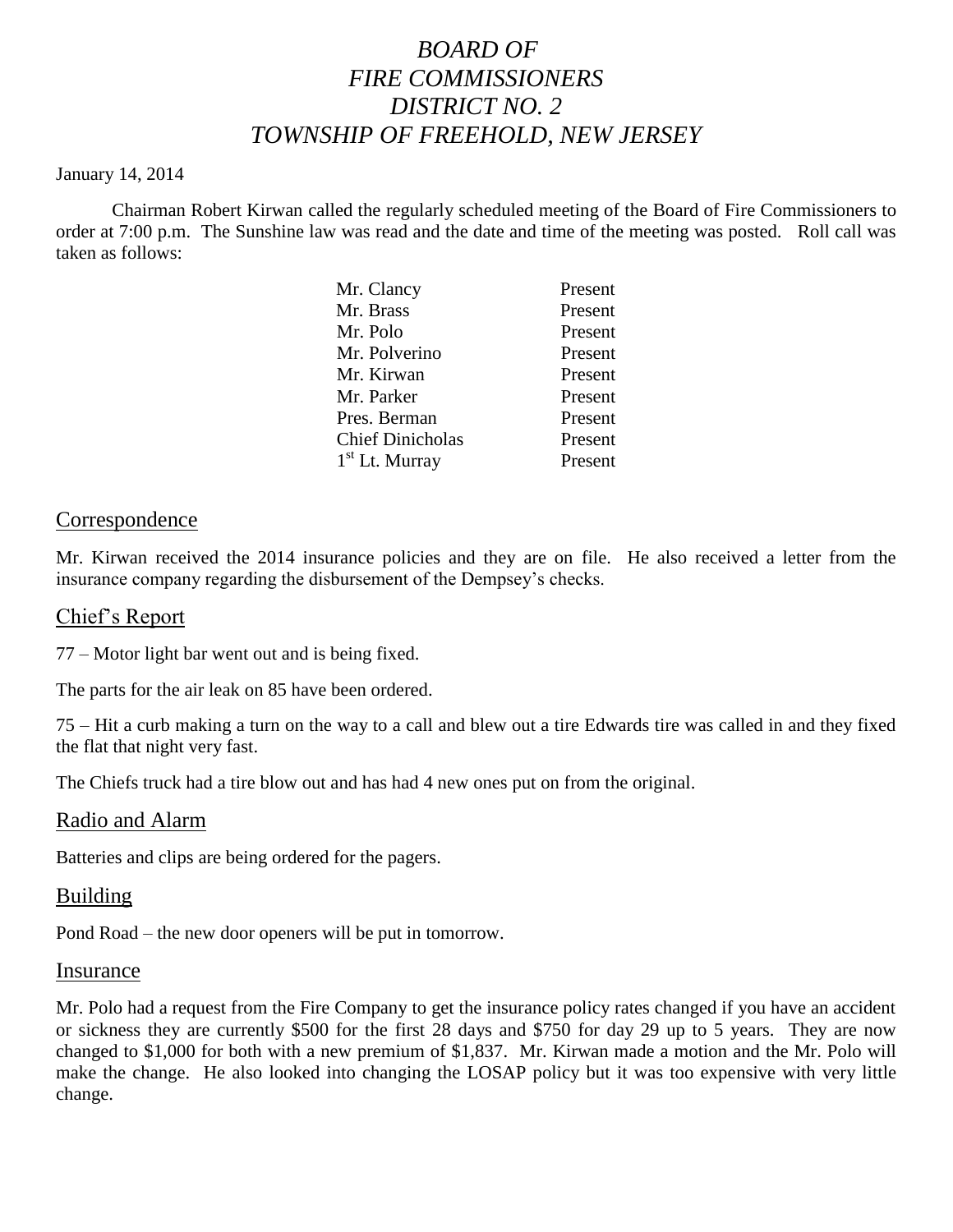# *BOARD OF FIRE COMMISSIONERS DISTRICT NO. 2 TOWNSHIP OF FREEHOLD, NEW JERSEY*

### January 14, 2014

Chairman Robert Kirwan called the regularly scheduled meeting of the Board of Fire Commissioners to order at 7:00 p.m. The Sunshine law was read and the date and time of the meeting was posted. Roll call was taken as follows:

| Mr. Clancy              | Present |
|-------------------------|---------|
| Mr. Brass               | Present |
| Mr. Polo                | Present |
| Mr. Polverino           | Present |
| Mr. Kirwan              | Present |
| Mr. Parker              | Present |
| Pres. Berman            | Present |
| <b>Chief Dinicholas</b> | Present |
| $1st$ Lt. Murray        | Present |
|                         |         |

# Correspondence

Mr. Kirwan received the 2014 insurance policies and they are on file. He also received a letter from the insurance company regarding the disbursement of the Dempsey's checks.

## Chief's Report

77 – Motor light bar went out and is being fixed.

The parts for the air leak on 85 have been ordered.

75 – Hit a curb making a turn on the way to a call and blew out a tire Edwards tire was called in and they fixed the flat that night very fast.

The Chiefs truck had a tire blow out and has had 4 new ones put on from the original.

## Radio and Alarm

Batteries and clips are being ordered for the pagers.

## Building

Pond Road – the new door openers will be put in tomorrow.

#### Insurance

Mr. Polo had a request from the Fire Company to get the insurance policy rates changed if you have an accident or sickness they are currently \$500 for the first 28 days and \$750 for day 29 up to 5 years. They are now changed to \$1,000 for both with a new premium of \$1,837. Mr. Kirwan made a motion and the Mr. Polo will make the change. He also looked into changing the LOSAP policy but it was too expensive with very little change.